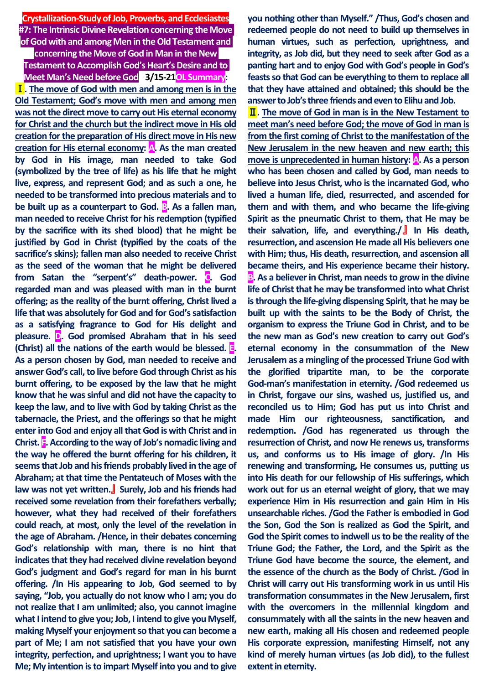**Crystallization-Study of Job, Proverbs, and Ecclesiastes #7: The Intrinsic Divine Revelation concerning the Move of God with and among Men in the Old Testament and** 

**concerning the Move of God in Man in the New** 

**Testament to Accomplish God's Heart's Desire and to Meet Man's Need before God a3/15-21OL Summary:** Ⅰ**. The move of God with men and among men is in the Old Testament; God's move with men and among men was not the direct move to carry out His eternal economy for Christ and the church but the indirect move in His old creation for the preparation of His direct move in His new creation for His eternal economy: A. As the man created by God in His image, man needed to take God (symbolized by the tree of life) as his life that he might live, express, and represent God; and as such a one, he needed to be transformed into precious materials and to be built up as a counterpart to God. B.** As a fallen man, **man needed to receive Christ for his redemption (typified by the sacrifice with its shed blood) that he might be justified by God in Christ (typified by the coats of the sacrifice's skins); fallen man also needed to receive Christ as the seed of the woman that he might be delivered from Satan the "serpent's" death-power. C. God regarded man and was pleased with man in the burnt offering; as the reality of the burnt offering, Christ lived a life that was absolutely for God and for God's satisfaction as a satisfying fragrance to God for His delight and pleasure. D. God promised Abraham that in his seed (Christ) all the nations of the earth would be blessed. E. As a person chosen by God, man needed to receive and answer God's call, to live before God through Christ as his burnt offering, to be exposed by the law that he might know that he was sinful and did not have the capacity to keep the law, and to live with God by taking Christ as the tabernacle, the Priest, and the offerings so that he might enter into God and enjoy all that God is with Christ and in Christ. F. According to the way of Job's nomadic living and the way he offered the burnt offering for his children, it seems that Job and his friends probably lived in the age of Abraham; at that time the Pentateuch of Moses with the law was not yet written.**』 **Surely, Job and his friends had received some revelation from their forefathers verbally; however, what they had received of their forefathers could reach, at most, only the level of the revelation in the age of Abraham. /Hence, in their debates concerning God's relationship with man, there is no hint that indicates that they had received divine revelation beyond God's judgment and God's regard for man in his burnt offering. /In His appearing to Job, God seemed to by saying, "Job, you actually do not know who I am; you do not realize that I am unlimited; also, you cannot imagine what I intend to give you; Job, I intend to give you Myself, making Myself your enjoyment so that you can become a part of Me; I am not satisfied that you have your own integrity, perfection, and uprightness; I want you to have Me; My intention is to impart Myself into you and to give**  **you nothing other than Myself." /Thus, God's chosen and redeemed people do not need to build up themselves in human virtues, such as perfection, uprightness, and integrity, as Job did, but they need to seek after God as a panting hart and to enjoy God with God's people in God's feasts so that God can be everything to them to replace all that they have attained and obtained; this should be the answer to Job's three friends and even to Elihu and Job.**

Ⅱ**. The move of God in man is in the New Testament to meet man's need before God; the move of God in man is from the first coming of Christ to the manifestation of the New Jerusalem in the new heaven and new earth; this move is unprecedented in human history:** A. As a person **who has been chosen and called by God, man needs to believe into Jesus Christ, who is the incarnated God, who lived a human life, died, resurrected, and ascended for them and with them, and who became the life-giving Spirit as the pneumatic Christ to them, that He may be their salvation, life, and everything./**』 **In His death, resurrection, and ascension He made all His believers one with Him; thus, His death, resurrection, and ascension all became theirs, and His experience became their history. B.** As a believer in Christ, man needs to grow in the divine **life of Christ that he may be transformed into what Christ is through the life-giving dispensing Spirit, that he may be built up with the saints to be the Body of Christ, the organism to express the Triune God in Christ, and to be the new man as God's new creation to carry out God's eternal economy in the consummation of the New Jerusalem as a mingling of the processed Triune God with the glorified tripartite man, to be the corporate God-man's manifestation in eternity. /God redeemed us in Christ, forgave our sins, washed us, justified us, and reconciled us to Him; God has put us into Christ and made Him our righteousness, sanctification, and redemption. /God has regenerated us through the resurrection of Christ, and now He renews us, transforms us, and conforms us to His image of glory. /In His renewing and transforming, He consumes us, putting us into His death for our fellowship of His sufferings, which work out for us an eternal weight of glory, that we may experience Him in His resurrection and gain Him in His unsearchable riches. /God the Father is embodied in God the Son, God the Son is realized as God the Spirit, and God the Spirit comes to indwell us to be the reality of the Triune God; the Father, the Lord, and the Spirit as the Triune God have become the source, the element, and the essence of the church as the Body of Christ. /God in Christ will carry out His transforming work in us until His transformation consummates in the New Jerusalem, first with the overcomers in the millennial kingdom and consummately with all the saints in the new heaven and new earth, making all His chosen and redeemed people His corporate expression, manifesting Himself, not any kind of merely human virtues (as Job did), to the fullest extent in eternity.**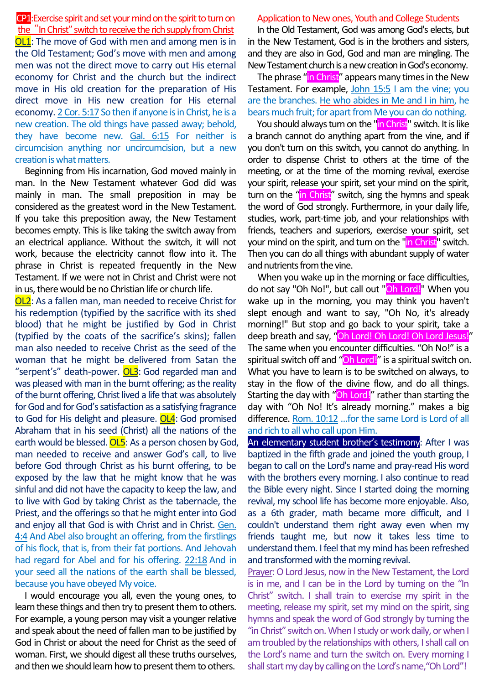### CP1:Exercise spirit and set your mind on the spirit to turn on the "In Christ" switch to receive the rich supply from Christ

OL1: The move of God with men and among men is in the Old Testament; God's move with men and among men was not the direct move to carry out His eternal economy for Christ and the church but the indirect move in His old creation for the preparation of His direct move in His new creation for His eternal economy. 2 Cor. 5:17 So then if anyone is in Christ, he is a new creation. The old things have passed away; behold, they have become new. Gal. 6:15 For neither is circumcision anything nor uncircumcision, but a new creation is what matters.

Beginning from His incarnation, God moved mainly in man. In the New Testament whatever God did was mainly in man. The small preposition in may be considered as the greatest word in the New Testament. If you take this preposition away, the New Testament becomes empty. This is like taking the switch away from an electrical appliance. Without the switch, it will not work, because the electricity cannot flow into it. The phrase in Christ is repeated frequently in the New Testament. If we were not in Christ and Christ were not in us, there would be no Christian life or church life.

OL2: As a fallen man, man needed to receive Christ for his redemption (typified by the sacrifice with its shed blood) that he might be justified by God in Christ (typified by the coats of the sacrifice's skins); fallen man also needed to receive Christ as the seed of the woman that he might be delivered from Satan the "serpent's" death-power. **OL3**: God regarded man and was pleased with man in the burnt offering; as the reality of the burnt offering, Christ lived a life that was absolutely for God and for God's satisfaction as a satisfying fragrance to God for His delight and pleasure. OL4: God promised Abraham that in his seed (Christ) all the nations of the earth would be blessed. **OL5**: As a person chosen by God, man needed to receive and answer God's call, to live before God through Christ as his burnt offering, to be exposed by the law that he might know that he was sinful and did not have the capacity to keep the law, and to live with God by taking Christ as the tabernacle, the Priest, and the offerings so that he might enter into God and enjoy all that God is with Christ and in Christ. Gen. 4:4 And Abel also brought an offering, from the firstlings of his flock, that is, from their fat portions. And Jehovah had regard for Abel and for his offering. 22:18 And in your seed all the nations of the earth shall be blessed, because you have obeyed My voice.

I would encourage you all, even the young ones, to learn these things and then try to present them to others. For example, a young person may visit a younger relative and speak about the need of fallen man to be justified by God in Christ or about the need for Christ as the seed of woman. First, we should digest all these truths ourselves, and then we should learn how to present them to others.

### Application to New ones, Youth and College Students

In the Old Testament, God was among God's elects, but in the New Testament, God is in the brothers and sisters, and they are also in God, God and man are mingling. The New Testament church is a new creation in God's economy.

The phrase "in Christ" appears many times in the New Testament. For example, John 15:5 I am the vine; you are the branches. He who abides in Me and I in him, he bears much fruit; for apart from Me you can do nothing.

You should always turn on the "in Christ" switch. It is like a branch cannot do anything apart from the vine, and if you don't turn on this switch, you cannot do anything. In order to dispense Christ to others at the time of the meeting, or at the time of the morning revival, exercise your spirit, release your spirit, set your mind on the spirit, turn on the "in Christ" switch, sing the hymns and speak the word of God strongly. Furthermore, in your daily life, studies, work, part-time job, and your relationships with friends, teachers and superiors, exercise your spirit, set your mind on the spirit, and turn on the "in Christ" switch. Then you can do all things with abundant supply of water and nutrients from the vine.

When you wake up in the morning or face difficulties, do not say "Oh No!", but call out "Oh Lord!" When you wake up in the morning, you may think you haven't slept enough and want to say, "Oh No, it's already morning!" But stop and go back to your spirit, take a deep breath and say, "Oh Lord! Oh Lord! Oh Lord Jesus!" The same when you encounter difficulties. "Oh No!" is a spiritual switch off and "Oh Lord!" is a spiritual switch on. What you have to learn is to be switched on always, to stay in the flow of the divine flow, and do all things. Starting the day with "Oh Lord!" rather than starting the day with "Oh No! It's already morning." makes a big difference. Rom. 10:12 …for the same Lord is Lord of all and rich to all who call upon Him.

An elementary student brother's testimony: After I was baptized in the fifth grade and joined the youth group, I began to call on the Lord's name and pray-read His word with the brothers every morning. I also continue to read the Bible every night. Since I started doing the morning revival, my school life has become more enjoyable. Also, as a 6th grader, math became more difficult, and I couldn't understand them right away even when my friends taught me, but now it takes less time to understand them. I feel that my mind has been refreshed and transformed with the morning revival.

Prayer: O Lord Jesus, now in the New Testament, the Lord is in me, and I can be in the Lord by turning on the "In Christ" switch. I shall train to exercise my spirit in the meeting, release my spirit, set my mind on the spirit, sing hymns and speak the word of God strongly by turning the "in Christ" switch on. When I study or work daily, or when I am troubled by the relationships with others, I shall call on the Lord's name and turn the switch on. Every morning I shall start my day by calling on the Lord's name,"Oh Lord"!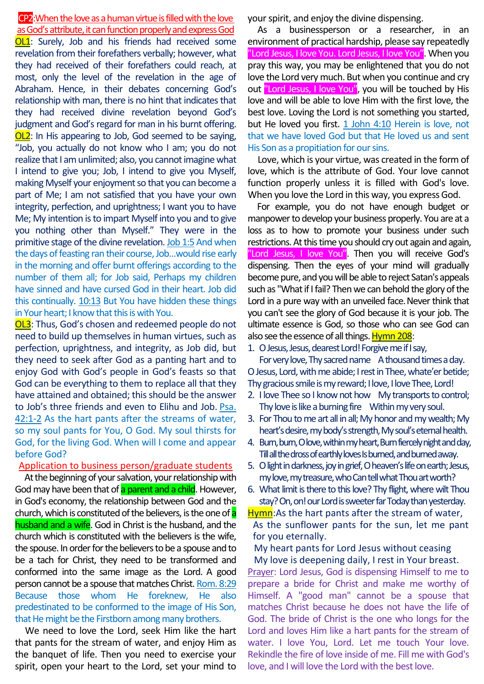## CP2:When the love as a human virtue is filled with the love as God's attribute, it can function properly and express God

OL1: Surely, Job and his friends had received some revelation from their forefathers verbally; however, what they had received of their forefathers could reach, at most, only the level of the revelation in the age of Abraham. Hence, in their debates concerning God's relationship with man, there is no hint that indicates that they had received divine revelation beyond God's judgment and God's regard for man in his burnt offering. OL2: In His appearing to Job, God seemed to be saying, "Job, you actually do not know who I am; you do not realize that I am unlimited; also, you cannot imagine what I intend to give you; Job, I intend to give you Myself, making Myself your enjoyment so that you can become a part of Me; I am not satisfied that you have your own integrity, perfection, and uprightness; I want you to have Me; My intention is to impart Myself into you and to give you nothing other than Myself." They were in the primitive stage of the divine revelation. Job 1:5 And when the days of feasting ran their course, Job…would rise early in the morning and offer burnt offerings according to the number of them all; for Job said, Perhaps my children have sinned and have cursed God in their heart. Job did this continually. 10:13 But You have hidden these things in Your heart; I know that this is with You.

OL3: Thus, God's chosen and redeemed people do not need to build up themselves in human virtues, such as perfection, uprightness, and integrity, as Job did, but they need to seek after God as a panting hart and to enjoy God with God's people in God's feasts so that God can be everything to them to replace all that they have attained and obtained; this should be the answer to Job's three friends and even to Elihu and Job. Psa. 42:1-2 As the hart pants after the streams of water, so my soul pants for You, O God. My soul thirsts for God, for the living God. When will I come and appear before God?

### Application to business person/graduate students

At the beginning of your salvation, your relationship with God may have been that of a parent and a child. However, in God's economy, the relationship between God and the church, which is constituted of the believers, is the one of a husband and a wife. God in Christ is the husband, and the church which is constituted with the believers is the wife, the spouse. In order for the believers to be a spouse and to be a tach for Christ, they need to be transformed and conformed into the same image as the Lord. A good person cannot be a spouse that matches Christ. Rom. 8:29 Because those whom He foreknew, He also predestinated to be conformed to the image of His Son, that He might be the Firstborn among many brothers.

We need to love the Lord, seek Him like the hart that pants for the stream of water, and enjoy Him as the banquet of life. Then you need to exercise your spirit, open your heart to the Lord, set your mind to your spirit, and enjoy the divine dispensing.

As a businessperson or a researcher, in an environment of practical hardship, please say repeatedly "Lord Jesus, I love You. Lord Jesus, I love You". When you pray this way, you may be enlightened that you do not love the Lord very much. But when you continue and cry out "Lord Jesus, I love You", you will be touched by His love and will be able to love Him with the first love, the best love. Loving the Lord is not something you started, but He loved you first. 1 John 4:10 Herein is love, not that we have loved God but that He loved us and sent His Son as a propitiation for our sins.

Love, which is your virtue, was created in the form of love, which is the attribute of God. Your love cannot function properly unless it is filled with God's love. When you love the Lord in this way, you express God.

For example, you do not have enough budget or manpower to develop your business properly. You are at a loss as to how to promote your business under such restrictions. At this time you should cry out again and again, "Lord Jesus, I love You". Then you will receive God's dispensing. Then the eyes of your mind will gradually become pure, and you will be able to reject Satan's appeals such as "What if I fail? Then we can behold the glory of the Lord in a pure way with an unveiled face. Never think that you can't see the glory of God because it is your job. The ultimate essence is God, so those who can see God can also see the essence of all things. Hymn 208:

1. O Jesus, Jesus, dearest Lord! Forgive me if I say,

For very love, Thy sacred name A thousand times a day. O Jesus, Lord, with me abide; I rest in Thee, whate'er betide; Thy gracious smile is my reward; I love, I love Thee, Lord!

- 2. I love Thee so I know not how My transports to control; Thy love is like a burning fire Within my very soul.
- 3. For Thou to me art all in all; My honor and my wealth; My heart's desire, my body's strength, My soul's eternal health.
- 4. Burn, burn, O love, within my heart, Burn fiercely night and day, Till all the dross of earthly loves Is burned, and burned away.
- 5. O light in darkness, joy in grief, O heaven's life on earth; Jesus, my love, my treasure, whoCantell what Thou art worth?
- 6. What limit is there to this love? Thy flight, where wilt Thou stay? On, on! our Lord is sweeter far Today than yesterday.

Hymn: As the hart pants after the stream of water, As the sunflower pants for the sun, let me pant for you eternally.

My heart pants for Lord Jesus without ceasing

My love is deepening daily, I rest in Your breast. Prayer: Lord Jesus, God is dispensing Himself to me to prepare a bride for Christ and make me worthy of Himself. A "good man" cannot be a spouse that matches Christ because he does not have the life of God. The bride of Christ is the one who longs for the Lord and loves Him like a hart pants for the stream of water. I love You, Lord. Let me touch Your love. Rekindle the fire of love inside of me. Fill me with God's love, and I will love the Lord with the best love.